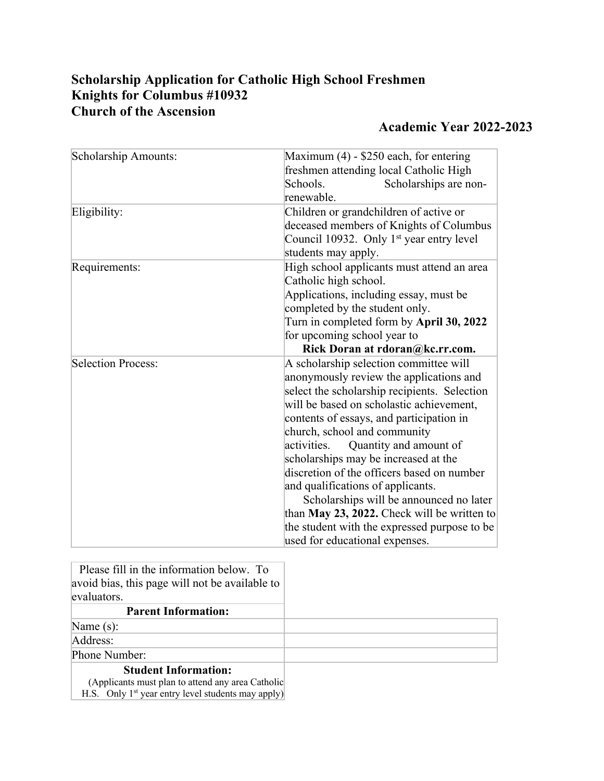## **Scholarship Application for Catholic High School Freshmen Knights for Columbus #10932 Church of the Ascension**

## **Academic Year 2022-2023**

| Scholarship Amounts: | Maximum $(4)$ - \$250 each, for entering<br>freshmen attending local Catholic High<br>Schools.<br>Scholarships are non-<br>renewable.                                                                                                                                                                                                                                                                                                                                                                                                                                                                     |  |
|----------------------|-----------------------------------------------------------------------------------------------------------------------------------------------------------------------------------------------------------------------------------------------------------------------------------------------------------------------------------------------------------------------------------------------------------------------------------------------------------------------------------------------------------------------------------------------------------------------------------------------------------|--|
| Eligibility:         | Children or grandchildren of active or<br>deceased members of Knights of Columbus<br>Council 10932. Only 1 <sup>st</sup> year entry level<br>students may apply.                                                                                                                                                                                                                                                                                                                                                                                                                                          |  |
| Requirements:        | High school applicants must attend an area<br>Catholic high school.<br>Applications, including essay, must be<br>completed by the student only.<br>Turn in completed form by April 30, 2022<br>for upcoming school year to<br>Rick Doran at rdoran@kc.rr.com.                                                                                                                                                                                                                                                                                                                                             |  |
| Selection Process:   | A scholarship selection committee will<br>anonymously review the applications and<br>select the scholarship recipients. Selection<br>will be based on scholastic achievement,<br>contents of essays, and participation in<br>church, school and community<br>Quantity and amount of<br>activities.<br>scholarships may be increased at the<br>discretion of the officers based on number<br>and qualifications of applicants.<br>Scholarships will be announced no later<br>than May 23, 2022. Check will be written to<br>the student with the expressed purpose to be<br>used for educational expenses. |  |

| Please fill in the information below. To<br>avoid bias, this page will not be available to<br>evaluators. |  |
|-----------------------------------------------------------------------------------------------------------|--|
| <b>Parent Information:</b>                                                                                |  |
| Name $(s)$ :                                                                                              |  |
| Address:                                                                                                  |  |
| Phone Number:                                                                                             |  |
| <b>Student Information:</b>                                                                               |  |
| (Applicants must plan to attend any area Catholic                                                         |  |
| H.S. Only $1st$ year entry level students may apply)                                                      |  |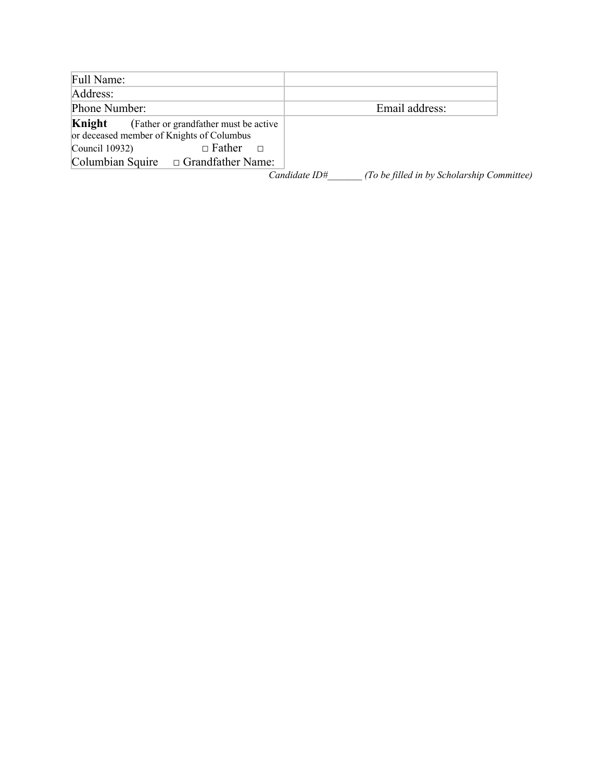| Full Name:                                                            |                                                                                                                |                                                             |
|-----------------------------------------------------------------------|----------------------------------------------------------------------------------------------------------------|-------------------------------------------------------------|
| Address:                                                              |                                                                                                                |                                                             |
| Phone Number:                                                         |                                                                                                                | Email address:                                              |
| Knight<br>or deceased member of Knights of Columbus<br>Council 10932) | (Father or grandfather must be active)<br>$\Box$ Father<br>$\Box$<br>Columbian Squire $\Box$ Grandfather Name: |                                                             |
|                                                                       |                                                                                                                | Candidate ID#<br>(To be filled in by Scholarship Committee) |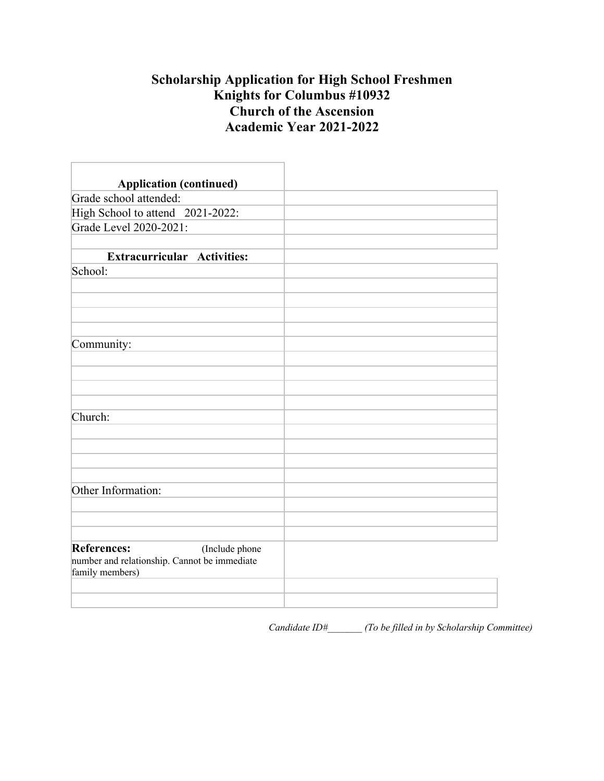## **Scholarship Application for High School Freshmen Knights for Columbus #10932 Church of the Ascension Academic Year 2021-2022**

| <b>Application (continued)</b>                                  |  |
|-----------------------------------------------------------------|--|
| Grade school attended:                                          |  |
| High School to attend 2021-2022:                                |  |
| Grade Level 2020-2021:                                          |  |
|                                                                 |  |
| <b>Extracurricular Activities:</b>                              |  |
| School:                                                         |  |
|                                                                 |  |
|                                                                 |  |
|                                                                 |  |
|                                                                 |  |
| Community:                                                      |  |
|                                                                 |  |
|                                                                 |  |
|                                                                 |  |
|                                                                 |  |
| Church:                                                         |  |
|                                                                 |  |
|                                                                 |  |
|                                                                 |  |
|                                                                 |  |
| Other Information:                                              |  |
|                                                                 |  |
|                                                                 |  |
|                                                                 |  |
| <b>References:</b><br>(Include phone                            |  |
| number and relationship. Cannot be immediate<br>family members) |  |
|                                                                 |  |
|                                                                 |  |
|                                                                 |  |

*Candidate ID#\_\_\_\_\_\_\_ (To be filled in by Scholarship Committee)*